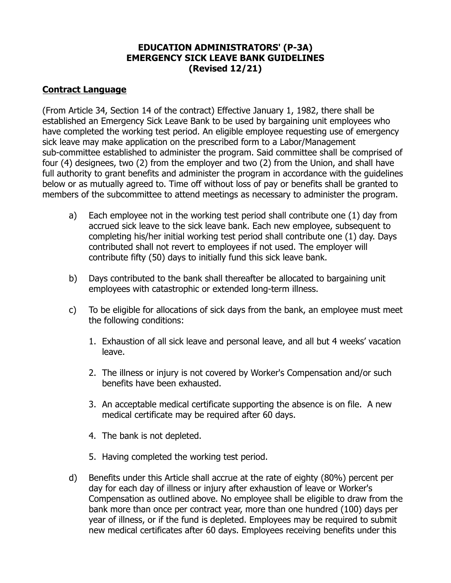## **EDUCATION ADMINISTRATORS' (P-3A) EMERGENCY SICK LEAVE BANK GUIDELINES (Revised 12/21)**

## **Contract Language**

(From Article 34, Section 14 of the contract) Effective January 1, 1982, there shall be established an Emergency Sick Leave Bank to be used by bargaining unit employees who have completed the working test period. An eligible employee requesting use of emergency sick leave may make application on the prescribed form to a Labor/Management sub-committee established to administer the program. Said committee shall be comprised of four (4) designees, two (2) from the employer and two (2) from the Union, and shall have full authority to grant benefits and administer the program in accordance with the guidelines below or as mutually agreed to. Time off without loss of pay or benefits shall be granted to members of the subcommittee to attend meetings as necessary to administer the program.

- a) Each employee not in the working test period shall contribute one (1) day from accrued sick leave to the sick leave bank. Each new employee, subsequent to completing his/her initial working test period shall contribute one (1) day. Days contributed shall not revert to employees if not used. The employer will contribute fifty (50) days to initially fund this sick leave bank.
- b) Days contributed to the bank shall thereafter be allocated to bargaining unit employees with catastrophic or extended long-term illness.
- c) To be eligible for allocations of sick days from the bank, an employee must meet the following conditions:
	- 1. Exhaustion of all sick leave and personal leave, and all but 4 weeks' vacation leave.
	- 2. The illness or injury is not covered by Worker's Compensation and/or such benefits have been exhausted.
	- 3. An acceptable medical certificate supporting the absence is on file. A new medical certificate may be required after 60 days.
	- 4. The bank is not depleted.
	- 5. Having completed the working test period.
- d) Benefits under this Article shall accrue at the rate of eighty (80%) percent per day for each day of illness or injury after exhaustion of leave or Worker's Compensation as outlined above. No employee shall be eligible to draw from the bank more than once per contract year, more than one hundred (100) days per year of illness, or if the fund is depleted. Employees may be required to submit new medical certificates after 60 days. Employees receiving benefits under this